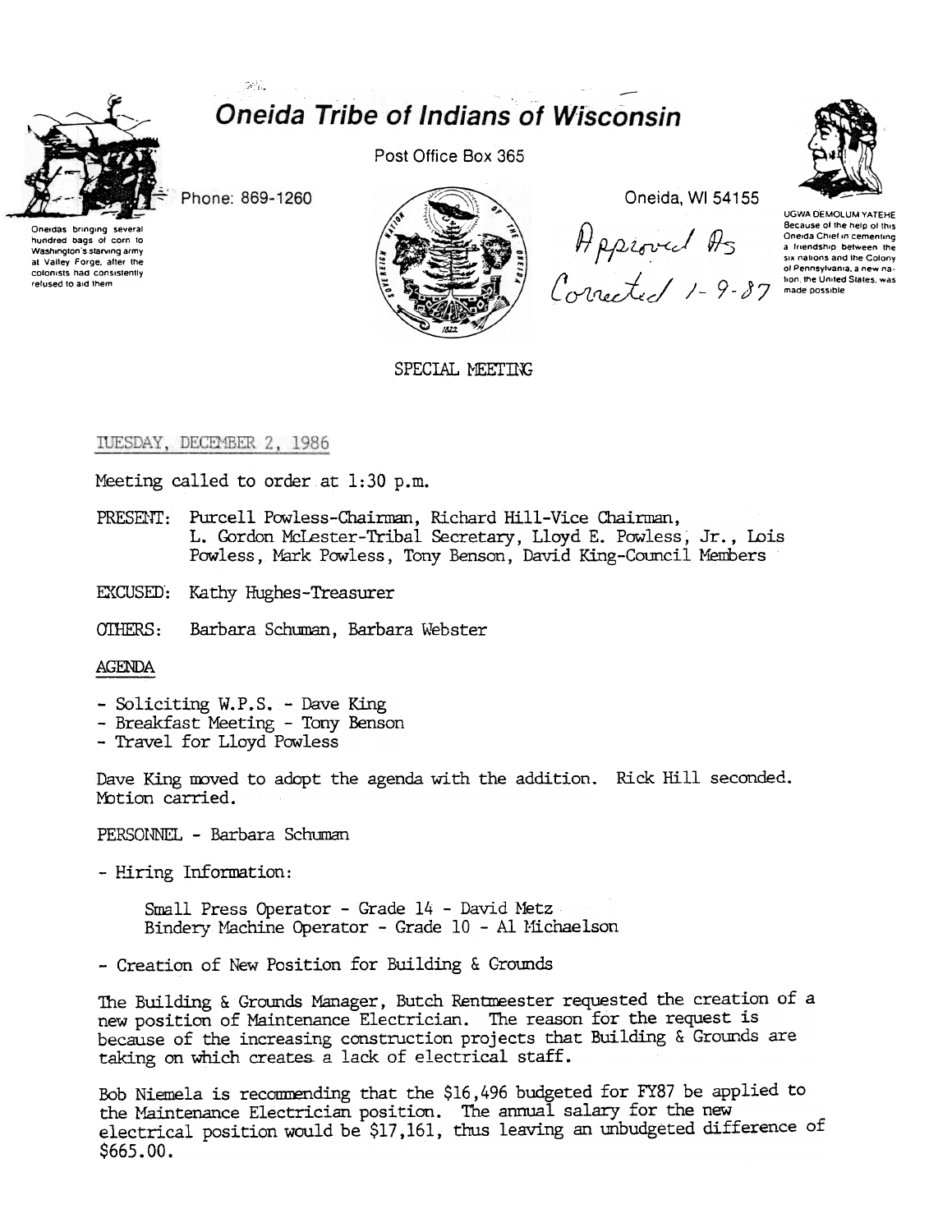

# **Oneida Tribe of Indians of Wisconsin**

Phone: 869-1260

 $\mathcal{D}(\mathcal{U})$ 



Post Office Box 365



Oneida, WI 54155

Applease of the help of this<br>a freedom of the help of this<br>a freedom between the<br>sx nations and the Colony<br>of Pennsylvania, a new na-<br>Colnected /-9-87 made possible



UGWA DEMOLUM YATEHE Because of the help of this<br>Oneida Chief in cementing

SPECIAL MEETING

## TUESDAY, DECEMBER 2, 1986

Meeting called to order at 1:30 p.m.

- PRESENT: Purcell Powless-Chairman, Richard Hill-Vice Chairman, L. Gordon McLester-Tribal Secretary, Lloyd E. Powless, Jr., Lois Powless, Mark Powless, Tony Benson, David King-Council Members
- EXCUSED: Kathy Hughes-Treasurer

OTHERS: Barbara Schuman, Barbara Webster

#### **AGENDA**

- Soliciting W.P.S. Dave King<br>- Breakfast Meeting Tony Benson
- 
- Travel for Lloyd Powless

Dave King moved to adopt the agenda with the addition. Rick Hill seconded. Motion carried.

PERSONNEL - Barbara Schuman

- Hiring Information:

Small Press Operator - Grade 14 - David Metz Bindery Machine Operator - Grade 10 - Al Michaelson

- Creation of New Position for Building & Grounds

The Building & Grounds Manager, Butch Rentmeester requested the creation of a new position of Maintenance Electrician. The reason for the request is because of the increasing construction projects that Building & Grounds are taking on which creates a lack of electrical staff.

Bob Niemela is recommending that the \$16,496 budgeted for FY87 be applied to the Maintenance Electrician position. The annual salary for the new electrical position would be \$17,161, thus leaving an unbudgeted difference of  $$665.00.$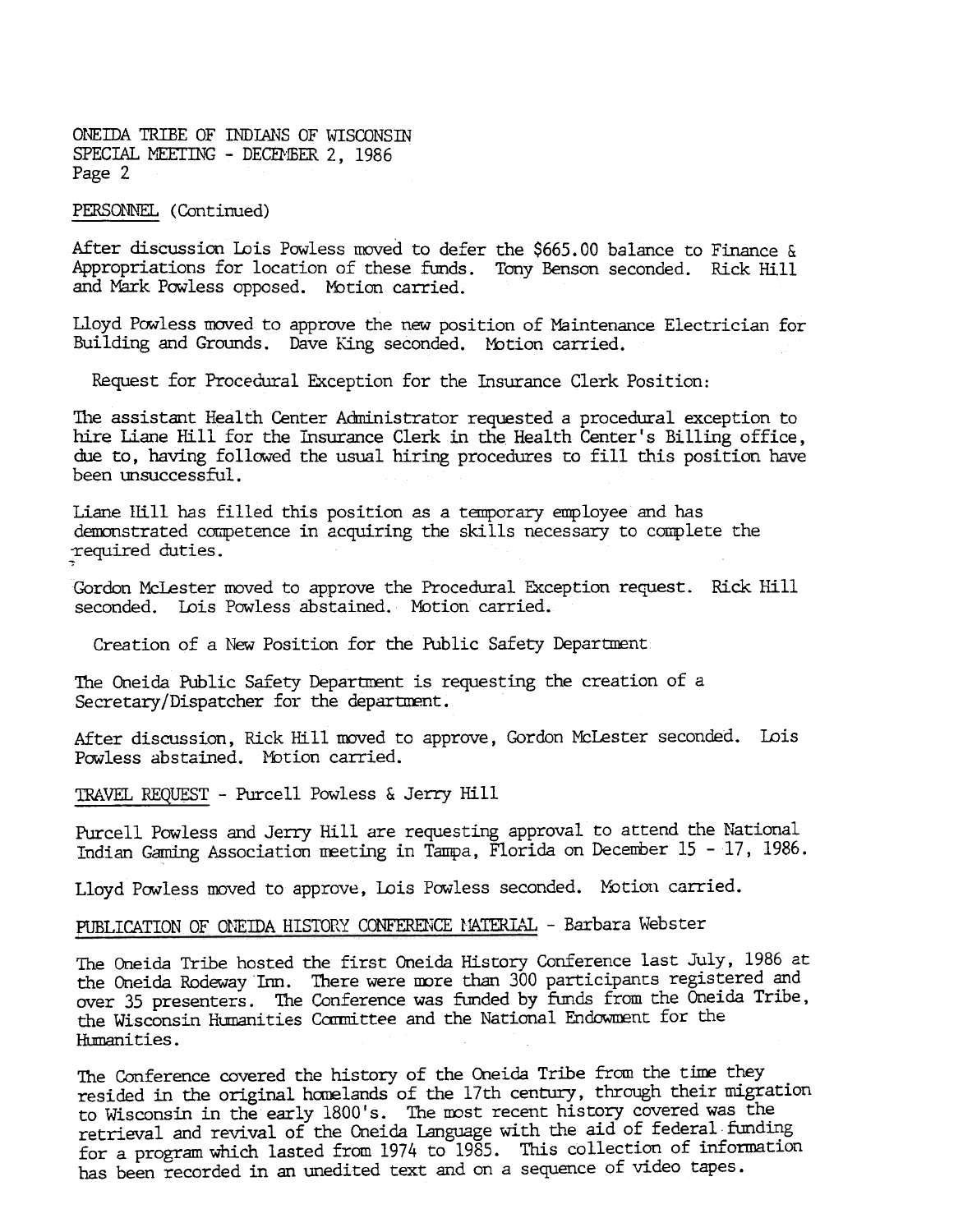## PERSONNEL (Continued)

After discussion Lois Powless moved to defer the \$665.00 balance to Finance & Appropriations for location of these funds. Tony Benson seconded. Rick Hill and Mark Powless opposed. Motion carried.

Lloyd Powless moved to approve the new position of Maintenance Electrician for Building and Grounds. Dave King seconded. Motion carried.

Request for Procedural Exception for the Insurance Clerk Position:

The assistant Health Center Administrator requested a procedural exception to hire Liane Hill for the Insurance Clerk in the Health Center's Billing office, due to, having followed the usual hiring procedures to fill this position have been unsuccessful.

Liane IIIll has filled this position as a temporary employee and has demonstrated competence in acquiring the skills necessary to complete the ~required duties.

Gordon McLester moved to approve the Procedural Exception request. Rick Hill seconded. Lois Powless abstained. Motion carried.

Creation of a New Position for the Public Safety Department

The Oneida Public Safety Department is requesting the creation of a Secretary/Dispatcher for the department.

After discussion, Rick Hill moved to approve, Gordon McLester seconded. Lois Powless abstained. Motion carried.

TRAVEL REQUEST - Purcell Powless & Jerry Hill

Purcell Powless and Jerry Hill are requesting approval to attend the National Indian Gaming Association meeting in Tampa, Florida on December 15 - 17, 1986.

Lloyd Powless moved to approve, Lois Powless seconded. Motion carried.

#### PUBLICATION OF ONEIDA HISTORY CONFERENCE MATERIAL. - Barbara Webster

The Oneida Tribe hosted the first Oneida History Conference last July, 1986 at the Oneida Rodeway Inn. There were more than 300 participants registered and over 35 presenters. The Conference was funded by funds from the Oneida Tribe, the Wisconsin Humanities Committee and the National Endowment for the Humanities.

The Conference covered the history of the Oneida Tribe from the time they resided in the original harelands of the 17th century, through their migration to Wisconsin in the early 1800's. The most recent history covered was the retrieval and revival of the Oneida Language with the aid of federal funding for a program which lasted from 1974 to 1985. This collection of information has been recorded in an unedited text and on a sequence of video tapes.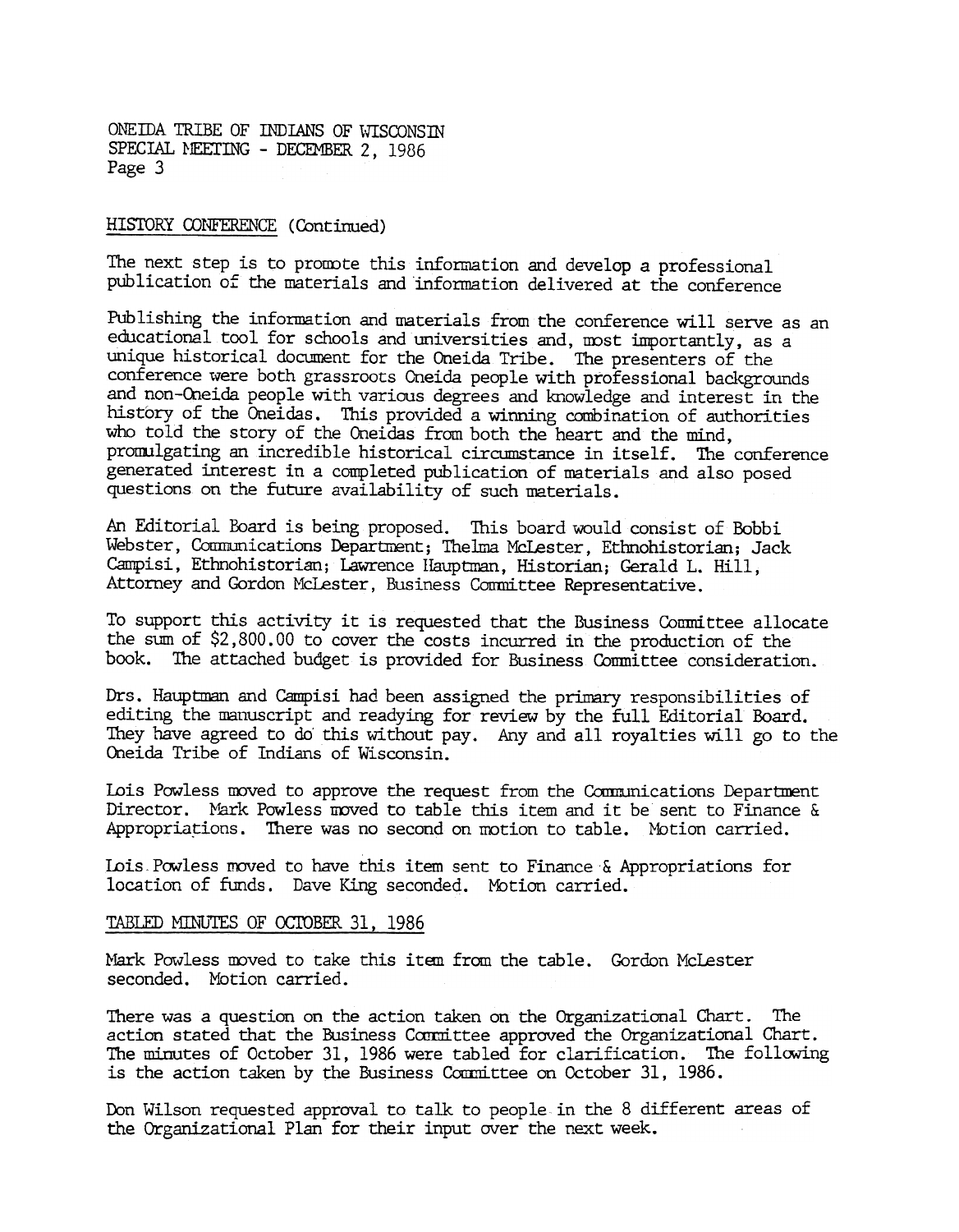#### HISTORY CONFERENCE (Continued)

The next step is to promote this information and develop a professional publication of the materials and information delivered at the conference

Publishing the information and materials from the conference will serve as an educational tool for schools and universities and, most importantly, as a unique historical document for the Oneida Tribe. The presenters of the conference were both grassroots Oneida people with professional backgrounds and non-Oneida people with various degrees and knowledge and interest in the history of the Oneidas. This provided a winning combination of authorities who told the story of the Oneidas from both the heart and the mind, promulgating an incredible historical circumstance in itself. The conference generated interest in a completed publication of materials and also posed questions on the future availability of such materials.

An Editorial Board is being proposed. This board would consist of Bobbi Webster, Communications Department; Thelma McLester, Ethnohistorian; Jack Campisi, Ethnohistorian; Lawrence Hauptman, Historian; Gerald L. Hill, Attorney and Gordon McLester, Business Committee Representative.

To support this activity it is requested that the Business Comnittee allocate the sum of \$2,800. 00 to cover the costs incurred in the production of the book. The attached budget is provided for Business Conmittee consideration.

Drs. Hauptman and Campisi had been assigned the primary responsibilities of editing the manuscript and readying for review by the full Editorial Board. They have agreed to do' this without pay. Any and all royalties will go to the Oneida Tribe of Indians of Wisconsin.

Lois Powless moved to approve the request from the Communications Department Director. Mark Powless moved to table this item and it be sent to Finance & Appropriations. There was no second on motion to table. Motion carried.

Lois Powless moved to have this item sent to Finance & Appropriations for location of funds. Dave King seconded. Motion carried.

#### TABLED MINUTES OF OCTOBER 31, 1986

Mark Powless moved to take this item from the table. Gordon McLeste: seconded. Motion carried.

There was a question on the action taken on the Organizational Chart. The action stated that the Business Committee approved the Organizational Chart. The mimutes of October 31, 1986 were tabled for clarification. The following is the action taken by the Business Committee on October 31, 1986.

Don Wilson requested approval to talk to people in the 8 different areas of the Organizational Plan for their input over the next week.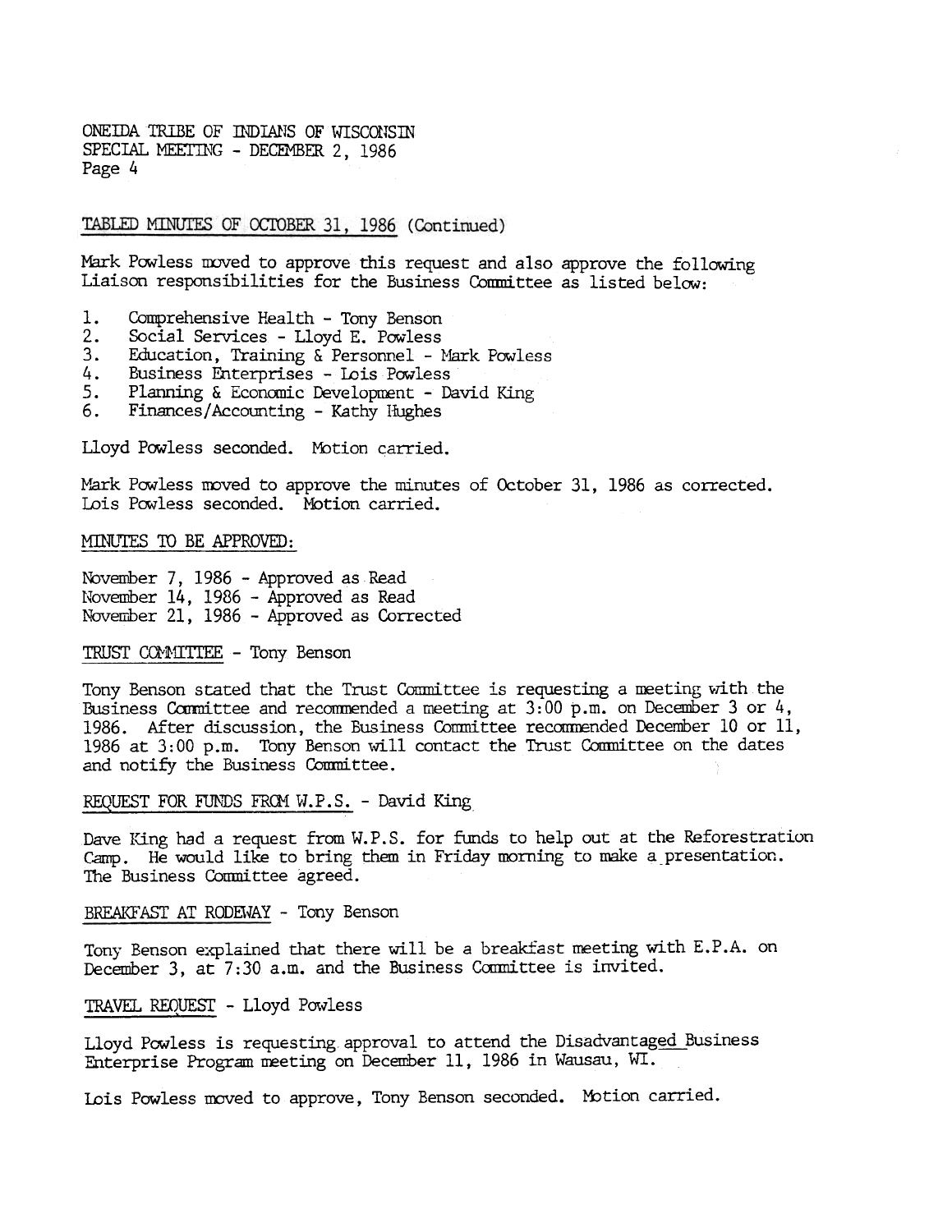TABLED MINUTES OF OCTOBER 31, 1986 (Continued)

Mark Powless moved to approve this request and also approve the following Liaison responsibilities for the Business Committee as listed below:

- 1. Comprehensive Health - Tony Benson
- $2.$ Social Services -Lloyd E. Powless
- $3.$ Education, Training & Personnel - Mark Powless
- 4. Business Enterprises - Lois Powless
- 5. Planning & Economic Development - David King
- 6. Finances/Accounting - Kathy Hughes

Lloyd Powless seconded. Motion carried.

Mark Powless moved to approve the minutes of October 31, 1986 as corrected. Lois Powless seconded. Motion carried.

MINUTES TO BE APPROVED:

November 7, 1986 - Approved as Read November 14, 1986 - Approved as Read November 21, 1986 - Approved as Corrected

#### TRUST COMMITTEE - Tony Benson

Tony Benson stated that the Trust Committee is requesting a meeting with the Business Committee and recommended a meeting at  $3:00$  p.m. on December 3 or 4, 1986. After discussion, the Business Committee recommended December 10 or 11, 1986 at 3:00 p.m. Tony Benson will contact the Trust Committee on the dates and notify the Business Comnittee.

REQUEST FOR FUNDS FROM W.P.S. - David King

Dave King had a request from W.P.S. for funds to help out at the Reforestration Camp. He would like to bring them in Friday morning to make a presentation. The Business Committee agreed.

BREAKFAST AT RODEWAY - Tony Benson

Tony Benson explained that there will be a breakfast meeting with E.P.A. on December 3, at  $7:30$  a.m. and the Business Committee is invited.

#### TRAVEL REQUEST - Lloyd Powless

Lloyd Powless is requesting approval to attend the Disadvantaged Business Enterprise Program meeting on December 11, 1986 in Wausau, WI.

Lois Powless moved to approve, Tony Benson seconded. Motion carried.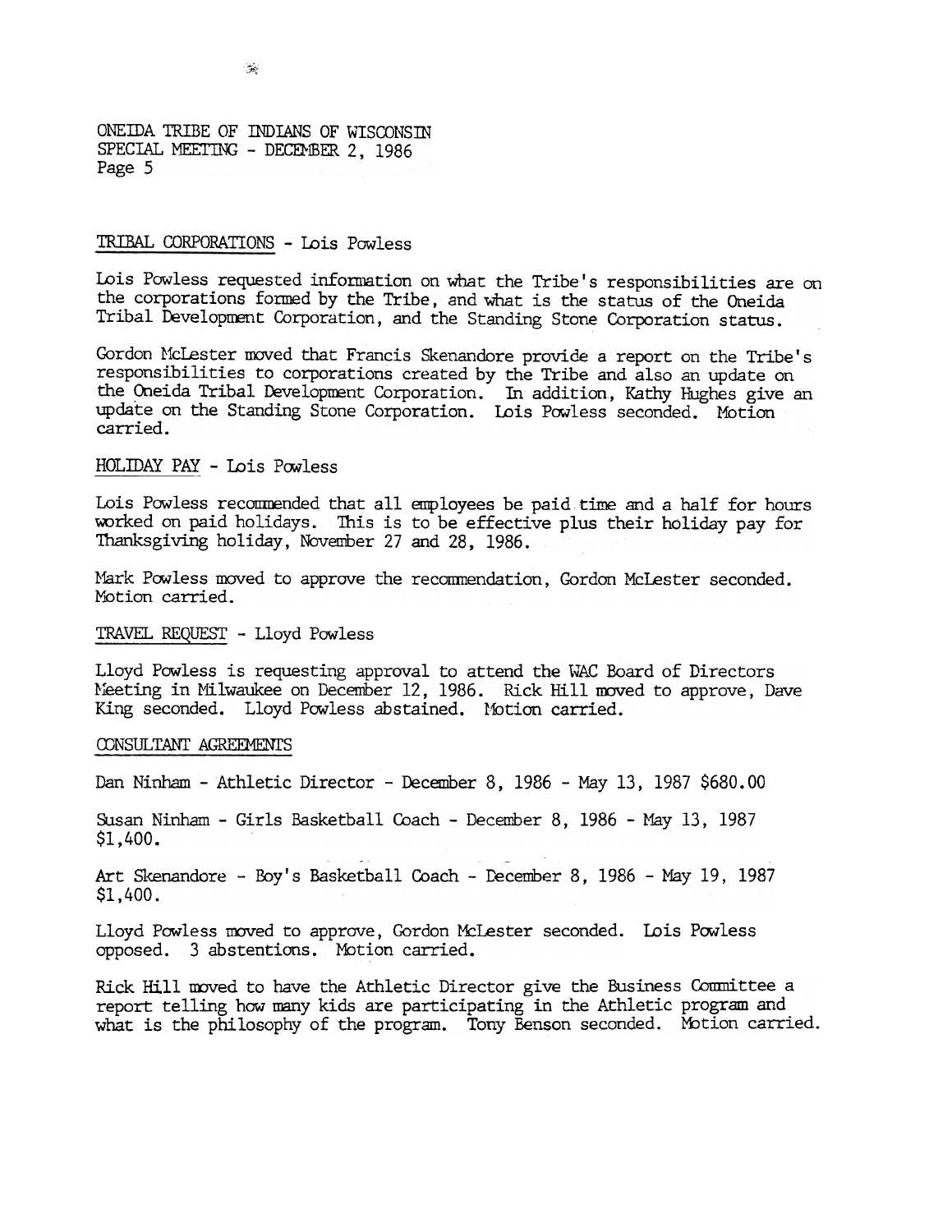#### TRIBAL CORPORATIONS -Lois Powless

Lois Powless requested information on what the Tribe's responsibilities are on the corporations formed by the Tribe, and what is the status of the Oneida Tribal Development Corporation, and the Standing Stone Corporation status.

Gordon McLester moved that Francis Skenandore provide a report on the Tribe's responsibilities to corporations created by the Tribe and also an update on the Oneida Tribal Development Corporation. In addition, Kathy Hughes give an update on the Standing Stone Corporation. Lois Powless seconded. Motion carried.

#### HOLIDAY PAY - Lois Powless

Lois Powless recommended that all employees be paid time and a half for hours worked on paid holidays. This is to be effective plus their holiday pay for Thanksgiving holiday, November 27 and 28, 1986.

Nark Powless moved to approve the recommendation, Gordon McLester seconded. Motion carried.

#### TRAVEL REQUEST - Lloyd Powless

Lloyd Powless is requesting approval to attend the WAC Board of Directors Meeting in Milwaukee on December 12, 1986. Rick Hill moved to approve, Dave King seconded. Lloyd Powless abstained. Motion carried.

#### CONSULTANT AGREEMENTS

Dan Ninham - Athletic Director - December 8, 1986 - May 13, 1987 \$680.00

Susan Ninham - Girls Basketball Coach - December 8, 1986 - May 13, 1987  $$1,400.$ 

Art Skenandore - Boy's Basketball Coach - December 8, 1986 - May 19, 1987 \$1,400.

Lloyd Powless moved to approve, Gordon McLester seconded. Lois Powless opposed. 3 abstentions. Mbtion carried.

Ridk Hill moved to have the Athletic Director give the Business Committee a report telling how nany kids are participating in the Athletic program and what is the philosophy of the program. Tony Benson seconded. Motion carried.